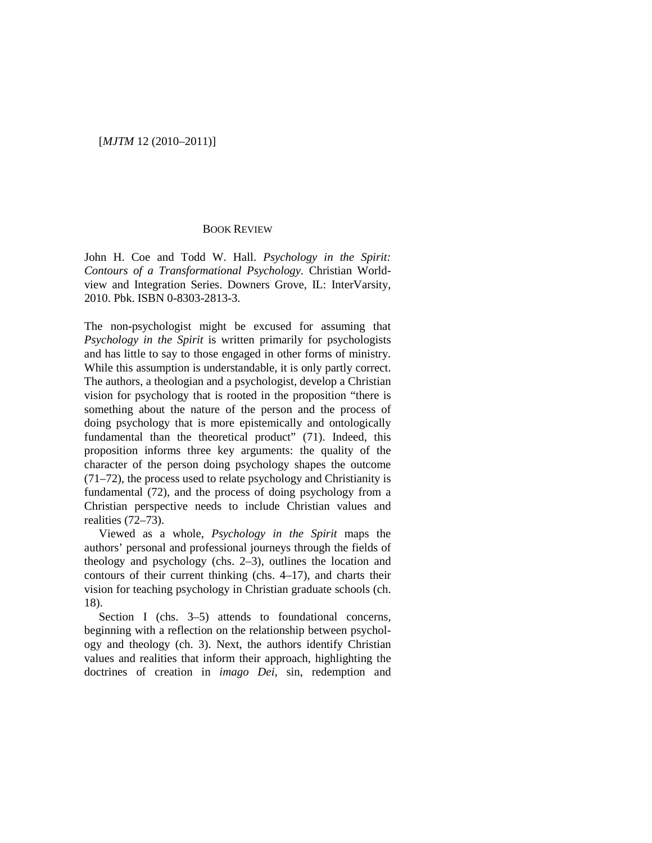# [*MJTM* 12 (2010–2011)]

## BOOK REVIEW

John H. Coe and Todd W. Hall. *Psychology in the Spirit: Contours of a Transformational Psychology.* Christian Worldview and Integration Series. Downers Grove, IL: InterVarsity, 2010. Pbk. ISBN 0-8303-2813-3.

The non-psychologist might be excused for assuming that *Psychology in the Spirit* is written primarily for psychologists and has little to say to those engaged in other forms of ministry. While this assumption is understandable, it is only partly correct. The authors, a theologian and a psychologist, develop a Christian vision for psychology that is rooted in the proposition "there is something about the nature of the person and the process of doing psychology that is more epistemically and ontologically fundamental than the theoretical product" (71). Indeed, this proposition informs three key arguments: the quality of the character of the person doing psychology shapes the outcome (71–72), the process used to relate psychology and Christianity is fundamental (72), and the process of doing psychology from a Christian perspective needs to include Christian values and realities (72–73).

Viewed as a whole, *Psychology in the Spirit* maps the authors' personal and professional journeys through the fields of theology and psychology (chs. 2–3), outlines the location and contours of their current thinking (chs. 4–17), and charts their vision for teaching psychology in Christian graduate schools (ch. 18).

Section I (chs. 3–5) attends to foundational concerns, beginning with a reflection on the relationship between psychology and theology (ch. 3). Next, the authors identify Christian values and realities that inform their approach, highlighting the doctrines of creation in *imago Dei*, sin, redemption and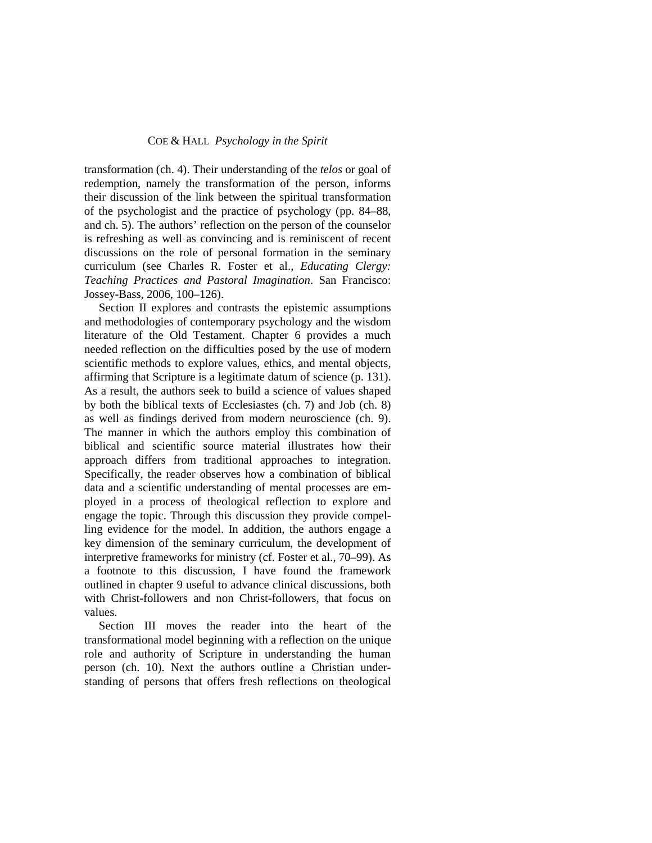## COE & HALL *Psychology in the Spirit*

transformation (ch. 4). Their understanding of the *telos* or goal of redemption, namely the transformation of the person, informs their discussion of the link between the spiritual transformation of the psychologist and the practice of psychology (pp. 84–88, and ch. 5). The authors' reflection on the person of the counselor is refreshing as well as convincing and is reminiscent of recent discussions on the role of personal formation in the seminary curriculum (see Charles R. Foster et al., *Educating Clergy: Teaching Practices and Pastoral Imagination*. San Francisco: Jossey-Bass, 2006, 100–126).

Section II explores and contrasts the epistemic assumptions and methodologies of contemporary psychology and the wisdom literature of the Old Testament. Chapter 6 provides a much needed reflection on the difficulties posed by the use of modern scientific methods to explore values, ethics, and mental objects, affirming that Scripture is a legitimate datum of science (p. 131). As a result, the authors seek to build a science of values shaped by both the biblical texts of Ecclesiastes (ch. 7) and Job (ch. 8) as well as findings derived from modern neuroscience (ch. 9). The manner in which the authors employ this combination of biblical and scientific source material illustrates how their approach differs from traditional approaches to integration. Specifically, the reader observes how a combination of biblical data and a scientific understanding of mental processes are employed in a process of theological reflection to explore and engage the topic. Through this discussion they provide compelling evidence for the model. In addition, the authors engage a key dimension of the seminary curriculum, the development of interpretive frameworks for ministry (cf. Foster et al., 70–99). As a footnote to this discussion, I have found the framework outlined in chapter 9 useful to advance clinical discussions, both with Christ-followers and non Christ-followers, that focus on values.

Section III moves the reader into the heart of the transformational model beginning with a reflection on the unique role and authority of Scripture in understanding the human person (ch. 10). Next the authors outline a Christian understanding of persons that offers fresh reflections on theological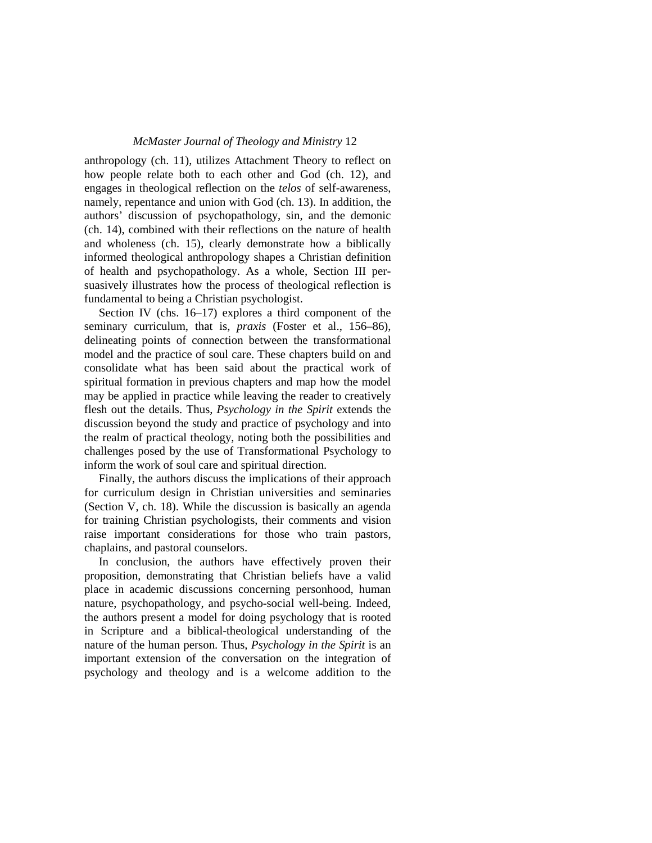### *McMaster Journal of Theology and Ministry* 12

anthropology (ch. 11), utilizes Attachment Theory to reflect on how people relate both to each other and God (ch. 12), and engages in theological reflection on the *telos* of self-awareness, namely, repentance and union with God (ch. 13). In addition, the authors' discussion of psychopathology, sin, and the demonic (ch. 14), combined with their reflections on the nature of health and wholeness (ch. 15), clearly demonstrate how a biblically informed theological anthropology shapes a Christian definition of health and psychopathology. As a whole, Section III persuasively illustrates how the process of theological reflection is fundamental to being a Christian psychologist.

Section IV (chs. 16–17) explores a third component of the seminary curriculum, that is, *praxis* (Foster et al., 156–86), delineating points of connection between the transformational model and the practice of soul care. These chapters build on and consolidate what has been said about the practical work of spiritual formation in previous chapters and map how the model may be applied in practice while leaving the reader to creatively flesh out the details. Thus, *Psychology in the Spirit* extends the discussion beyond the study and practice of psychology and into the realm of practical theology, noting both the possibilities and challenges posed by the use of Transformational Psychology to inform the work of soul care and spiritual direction.

Finally, the authors discuss the implications of their approach for curriculum design in Christian universities and seminaries (Section V, ch. 18). While the discussion is basically an agenda for training Christian psychologists, their comments and vision raise important considerations for those who train pastors, chaplains, and pastoral counselors.

In conclusion, the authors have effectively proven their proposition, demonstrating that Christian beliefs have a valid place in academic discussions concerning personhood, human nature, psychopathology, and psycho-social well-being. Indeed, the authors present a model for doing psychology that is rooted in Scripture and a biblical-theological understanding of the nature of the human person. Thus, *Psychology in the Spirit* is an important extension of the conversation on the integration of psychology and theology and is a welcome addition to the